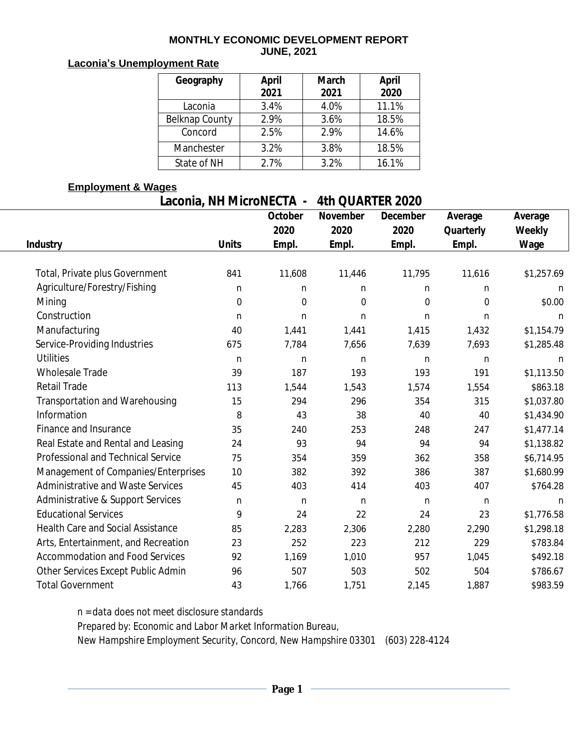#### **MONTHLY ECONOMIC DEVELOPMENT REPORT JUNE, 2021**

# **Laconia's Unemployment Rate**

| Geography      | <b>April</b><br>2021 | <b>March</b><br>2021 | <b>April</b><br>2020 |
|----------------|----------------------|----------------------|----------------------|
| Laconia        | 3.4%                 | 4.0%                 | 11.1%                |
| Belknap County | 2.9%                 | 3.6%                 | 18.5%                |
| Concord        | 2.5%                 | 2.9%                 | 14.6%                |
| Manchester     | 3.2%                 | 3.8%                 | 18.5%                |
| State of NH    | 2.7%                 | 3.2%                 | 16.1%                |

#### **Employment & Wages**

### **Laconia, NH MicroNECTA - 4th QUARTER 2020**

|                                          |                  | October          | November         | December         | Average          | Average       |  |
|------------------------------------------|------------------|------------------|------------------|------------------|------------------|---------------|--|
|                                          |                  | 2020             | 2020             | 2020             | Quarterly        | <b>Weekly</b> |  |
| <b>Industry</b>                          | <b>Units</b>     | Empl.            | Empl.            | Empl.            | Empl.            | Wage          |  |
|                                          |                  |                  |                  |                  |                  |               |  |
| Total, Private plus Government           | 841              | 11,608           | 11,446           | 11,795           | 11,616           | \$1,257.69    |  |
| Agriculture/Forestry/Fishing             | $\mathbf n$      | $\mathbf n$      | n                | n                | n                | n             |  |
| Mining                                   | $\boldsymbol{0}$ | $\boldsymbol{0}$ | $\boldsymbol{0}$ | $\boldsymbol{0}$ | $\boldsymbol{0}$ | \$0.00        |  |
| Construction                             | n                | $\mathbf n$      | $\mathbf n$      | $\mathbf n$      | $\mathbf n$      | $\mathbf n$   |  |
| Manufacturing                            | 40               | 1,441            | 1,441            | 1,415            | 1,432            | \$1,154.79    |  |
| Service-Providing Industries             | 675              | 7,784            | 7,656            | 7,639            | 7,693            | \$1,285.48    |  |
| <b>Utilities</b>                         | $\mathbf n$      | $\mathbf n$      | $\mathbf n$      | $\mathbf n$      | $\mathbf n$      | n             |  |
| <b>Wholesale Trade</b>                   | 39               | 187              | 193              | 193              | 191              | \$1,113.50    |  |
| <b>Retail Trade</b>                      | 113              | 1,544            | 1,543            | 1,574            | 1,554            | \$863.18      |  |
| Transportation and Warehousing           | 15               | 294              | 296              | 354              | 315              | \$1,037.80    |  |
| Information                              | 8                | 43               | 38               | 40               | 40               | \$1,434.90    |  |
| Finance and Insurance                    | 35               | 240              | 253              | 248              | 247              | \$1,477.14    |  |
| Real Estate and Rental and Leasing       | 24               | 93               | 94               | 94               | 94               | \$1,138.82    |  |
| Professional and Technical Service       | 75               | 354              | 359              | 362              | 358              | \$6,714.95    |  |
| Management of Companies/Enterprises      | 10               | 382              | 392              | 386              | 387              | \$1,680.99    |  |
| <b>Administrative and Waste Services</b> | 45               | 403              | 414              | 403              | 407              | \$764.28      |  |
| Administrative & Support Services        | $\mathbf n$      | n                | $\mathbf n$      | $\mathbf n$      | n                | n             |  |
| <b>Educational Services</b>              | 9                | 24               | 22               | 24               | 23               | \$1,776.58    |  |
| <b>Health Care and Social Assistance</b> | 85               | 2,283            | 2,306            | 2,280            | 2,290            | \$1,298.18    |  |
| Arts, Entertainment, and Recreation      | 23               | 252              | 223              | 212              | 229              | \$783.84      |  |
| <b>Accommodation and Food Services</b>   | 92               | 1,169            | 1,010            | 957              | 1,045            | \$492.18      |  |
| Other Services Except Public Admin       | 96               | 507              | 503              | 502              | 504              | \$786.67      |  |
| <b>Total Government</b>                  | 43               | 1,766            | 1,751            | 2,145            | 1,887            | \$983.59      |  |

*n = data does not meet disclosure standards*

*Prepared by: Economic and Labor Market Information Bureau,*

*New Hampshire Employment Security, Concord, New Hampshire 03301 (603) 228-4124*